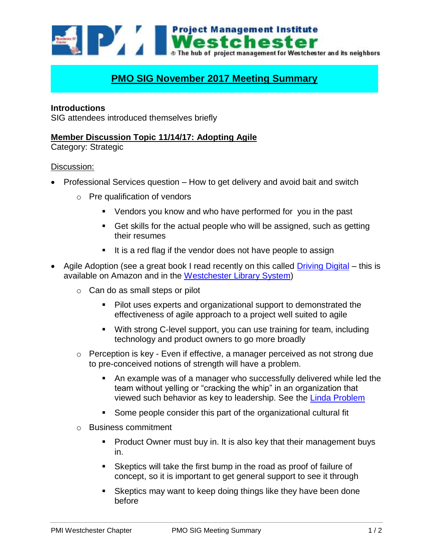

# **PMO SIG November 2017 Meeting Summary**

## **Introductions**

SIG attendees introduced themselves briefly

## **Member Discussion Topic 11/14/17: Adopting Agile**

Category: Strategic

### Discussion:

- Professional Services question How to get delivery and avoid bait and switch
	- o Pre qualification of vendors
		- Vendors you know and who have performed for you in the past
		- Get skills for the actual people who will be assigned, such as getting their resumes
		- $\blacksquare$  It is a red flag if the vendor does not have people to assign
- Agile Adoption (see a great book I read recently on this called [Driving Digital](https://www.amazon.com/Driving-Digital-Business-Transformation-Technology/dp/0814438601) this is available on Amazon and in the [Westchester Library System\)](https://www.westlibs.org/client/en_US/wls_catalog/search/results?qu=driving+digital&te=&rt=false%7C%7C%7CTITLE%7C%7C%7CTitle)
	- $\circ$  Can do as small steps or pilot
		- **Pilot uses experts and organizational support to demonstrated the** effectiveness of agile approach to a project well suited to agile
		- With strong C-level support, you can use training for team, including technology and product owners to go more broadly
	- o Perception is key Even if effective, a manager perceived as not strong due to pre-conceived notions of strength will have a problem.
		- An example was of a manager who successfully delivered while led the team without yelling or "cracking the whip" in an organization that viewed such behavior as key to leadership. See the [Linda Problem](https://en.wikipedia.org/wiki/Conjunction_fallacy)
		- Some people consider this part of the organizational cultural fit
	- o Business commitment
		- **Product Owner must buy in. It is also key that their management buys** in.
		- Skeptics will take the first bump in the road as proof of failure of concept, so it is important to get general support to see it through
		- Skeptics may want to keep doing things like they have been done before